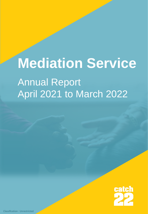# **Mediation Service** Annual Report April 2021 to March 2022

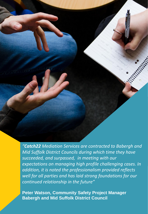*"Catch22 Mediation Services are contracted to Babergh and Mid Suffolk District Councils during which time they have succeeded, and surpassed, in meeting with our expectations on managing high profile challenging cases. In addition, it is noted the professionalism provided reflects well for all parties and has laid strong foundations for our continued relationship in the future"*

**Peter Watson, Community Safety Project Manager Babergh and Mid Suffolk District Council**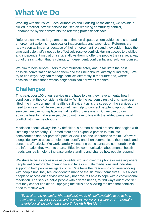## **What We Do**

Working with the Police, Local Authorities and Housing Associations, we provide a skilled, practical, flexible service focused on resolving community conflict, unhampered by the constraints the referring professionals face.

Referrers can waste large amounts of time on disputes where evidence is short and enforcement action is impractical or inappropriate and expensive. Referrers are rarely seen as impartial because of their enforcement role and they seldom have the time available that's needed to effectively resolve conflict. Having access to a skilled and independent mediation service allows them to offer the people they serve, a way out of their situation that is voluntary, independent, confidential and solution focused.

We aim to help service users to communicate safely and to facilitate the best possible conversation between them and their neighbours, directly or indirectly. We try to find ways they can manage conflicts differently in the future and, where possible, to help those whose neighbours can't or won't mediate.

#### **Challenges**

This year, over 100 of our service users have told us they have a mental health condition that they consider a disability. While the pandemic restrictions have been lifted, the impact on mental health is still evident as is the stress on the services they need to access. While we can sometimes help to connect people to appropriate services, we can not replace mental health professionals. But we can do our absolute best to make sure people do not have to live with the added pressure of conflict with their neighbours.

Mediation should always be, by definition, a person-centred process that begins with listening and empathy. Our mediators don't expect a person to take into consideration another person's point of view if no one understands theirs. We work alongside service users to help them identify and then communicate their needs and concerns effectively. We work carefully, ensuring participants are comfortable with the information they want to share. Effective communication about mental health needs can really help to increase understanding and change how people respond.

We strive to be as accessible as possible, working over the phone or meeting where people feel comfortable, offering face to face or shuttle mediations and individual support to help people navigate conflict. We have the freedom to continue working with people until they feel confident to manage the situation themselves. This allows people to access our service who may not have felt able to cope with a conventional mediation. The service helps people with diverse needs, to find ways out of conflict that they cannot find alone - applying the skills and allowing the time that conflicts need to resolve well.

*"Even after the resolution [the mediator] made himself available to us to help navigate and access support and agencies we weren't aware of. I'm eternally grateful for all his help and support" Ipswich Resident*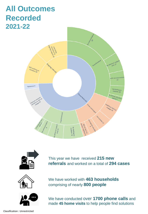### **All Outcomes Recorded 2021-22**





This year we have received **215 new referrals** and worked on a total of **294 cases**





We have worked with **463 households** comprising of nearly **800 people**

We have conducted over **1700 phone calls** and made **45 home visits** to help people find solutions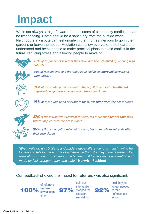## **Impact**

While not always straightforward, the outcomes of community mediation can be lifechanging. Home should be a sanctuary from the outside world. Neighbours in dispute can feel unsafe in their homes, nervous to go in their gardens or leave the house. Mediation can allow everyone to be heard and understood and helps people to make practical plans to avoid conflict in the future, reducing stress and allowing people to move on.



*70% of respondents said that their issue had been resolved by working with Catch22*



*93% of respondents said that their issue had been improved by working with Catch22*



*94% of those who felt it relevant to them, felt their mental health had improved and felt less stressed when their case closed*



*93% of those who felt it relevant to them, felt safer when their case closed* 



*87% of those who felt it relevant to them, felt more confident to cope with future conflict when their case closed*

*96% of those who felt it relevant to them, felt more able to enjoy life after their case closed*

*"[the mediator] was brilliant, and made a huge difference to us. Just having her to help and talk to made more of a difference than she may have realised. We were at our wits end when we contacted her … It transformed our situation and made us feel stronger again, and safer"* **Norwich Resident**

#### Our feedback showed the impact for referrers was also significant:

of referrers said we 100% saved them time



said our intervention 97% stopped the situation escalating



said they no longer needed enforcement action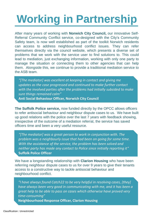## **Working in Partnership**

After many years of working with **Norwich City Council,** our innovative Self-Referral Community Conflict service, co-designed with the City's Community Safety team, is now well established as part of the toolkit Norwich residents can access to address neighbourhood conflict issues. They can refer themselves directly via the council website, which presents a diverse set of problems that we work with the service user to find solutions to. This could lead to mediation, just exchanging information, working with only one party to manage the situation or connecting them to other agencies that can help them. Alongside this, we continue to provide a traditional mediation service to the ASB team.

*"[The mediator] was excellent at keeping in contact and giving me updates as the case progressed and continued to make further contact with the involved parties after the problems had initially subsided to make sure things remained calm"*  **Anti Social Behaviour Officer, Norwich City Council**

**The Suffolk Police service,** now funded directly by the OPCC allows officers to refer antisocial behaviour and neighbour dispute cases to us. We have built up good relations with the police over the last 7 years with feedback showing, irrespective of the outcome of a mediation referral, the service has saved officers time and been a very useful resource.

*"[The mediator] was a great person to work in conjunction with. The problem was a neighbourly issue that had been on going for some time. With the assistance of the service, the problem has been solved and neither party has made any contact to Police since initially reporting it"* **Suffolk Police Officer**

We have a longstanding relationship with **Clarion Housing** who have been referring neighbour dispute cases to us for over 9 years to give their tenants access to a constructive way to tackle antisocial behaviour and neighbourhood conflict.

*"I have always found Catch22 to be very helpful in resolving cases, [they] have always been very good in communicating with me, and it has been a great help to be able to pass on cases which otherwise have proved very time-consuming"*

**Neighbourhood Response Officer, Clarion Housing**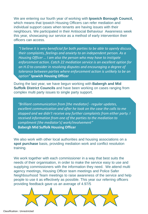We are entering our fourth year of working with **Ipswich Borough Council,**  which means that Ipswich Housing Officers can refer mediation and individual support cases when tenants are having issues with their neighbours. We participated in their Antisocial Behaviour Awareness week this year, showcasing our service as a method of early intervention their officers can access.

*"I believe it is very beneficial for both parties to be able to openly discuss their complaints, feelings and anxiety to an independent person. As a Housing Officer … I am also the person who may have to instigate enforcement action. Catch 22 mediation service is an excellent option for an H.O to consider in resolving disputes and encouraging a degree of tolerance between parties where enforcement action is unlikely to be an option"* **Ipswich Housing Officer**

During the last year, we have begun working with **Babergh and Mid Suffolk District Councils** and have been working on cases ranging from complex multi party issues to single party support.

*"Brilliant communication from [the mediator] - regular updates, excellent communication and after he took on the case the calls to me stopped and we didn't receive any further complaints from either party. I received information from one of the parties to the mediation to compliment [the mediator's] work/involvement"* **Babergh Mid Suffolk Housing Officer**

We also work with other local authorities and housing associations on a **spot purchase** basis, providing mediation work and conflict resolution training.

We work together with each commissioner in a way that best suits the needs of their organisation, in order to make the service easy to use and supplying commissioners with the information they need. We attend multi agency meetings, Housing Officer team meetings and Police Safer Neighbourhood Team meetings to raise awareness of the service and help people to use it as effectively as possible. This year our referring officers providing feedback gave us an average of 4.97/5



Classification : Unrestricted